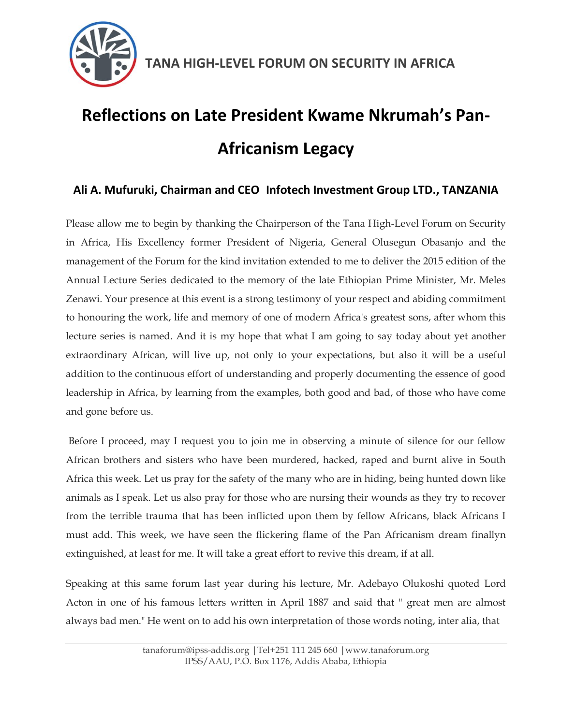

# **Reflections on Late President Kwame Nkrumah's Pan-Africanism Legacy**

### **Ali A. Mufuruki, Chairman and CEO Infotech Investment Group LTD., TANZANIA**

Please allow me to begin by thanking the Chairperson of the Tana High-Level Forum on Security in Africa, His Excellency former President of Nigeria, General Olusegun Obasanjo and the management of the Forum for the kind invitation extended to me to deliver the 2015 edition of the Annual Lecture Series dedicated to the memory of the late Ethiopian Prime Minister, Mr. Meles Zenawi. Your presence at this event is a strong testimony of your respect and abiding commitment to honouring the work, life and memory of one of modern Africa's greatest sons, after whom this lecture series is named. And it is my hope that what I am going to say today about yet another extraordinary African, will live up, not only to your expectations, but also it will be a useful addition to the continuous effort of understanding and properly documenting the essence of good leadership in Africa, by learning from the examples, both good and bad, of those who have come and gone before us.

Before I proceed, may I request you to join me in observing a minute of silence for our fellow African brothers and sisters who have been murdered, hacked, raped and burnt alive in South Africa this week. Let us pray for the safety of the many who are in hiding, being hunted down like animals as I speak. Let us also pray for those who are nursing their wounds as they try to recover from the terrible trauma that has been inflicted upon them by fellow Africans, black Africans I must add. This week, we have seen the flickering flame of the Pan Africanism dream finallyn extinguished, at least for me. It will take a great effort to revive this dream, if at all.

Speaking at this same forum last year during his lecture, Mr. Adebayo Olukoshi quoted Lord Acton in one of his famous letters written in April 1887 and said that " great men are almost always bad men." He went on to add his own interpretation of those words noting, inter alia, that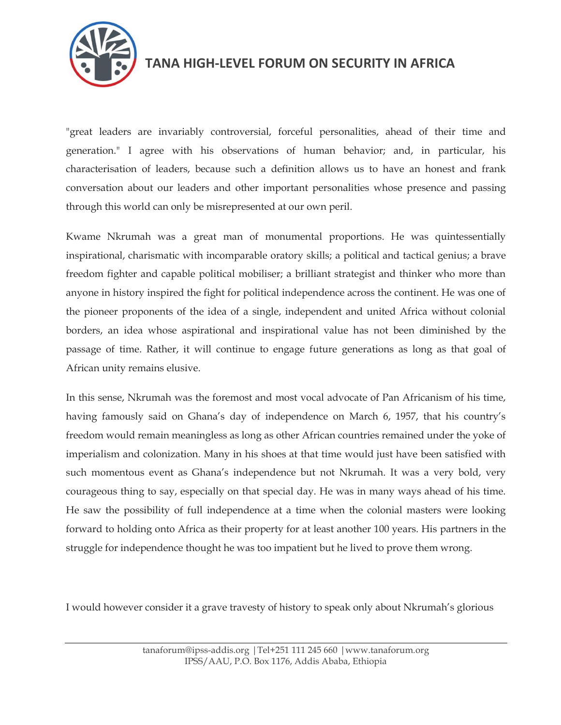

"great leaders are invariably controversial, forceful personalities, ahead of their time and generation." I agree with his observations of human behavior; and, in particular, his characterisation of leaders, because such a definition allows us to have an honest and frank conversation about our leaders and other important personalities whose presence and passing through this world can only be misrepresented at our own peril.

Kwame Nkrumah was a great man of monumental proportions. He was quintessentially inspirational, charismatic with incomparable oratory skills; a political and tactical genius; a brave freedom fighter and capable political mobiliser; a brilliant strategist and thinker who more than anyone in history inspired the fight for political independence across the continent. He was one of the pioneer proponents of the idea of a single, independent and united Africa without colonial borders, an idea whose aspirational and inspirational value has not been diminished by the passage of time. Rather, it will continue to engage future generations as long as that goal of African unity remains elusive.

In this sense, Nkrumah was the foremost and most vocal advocate of Pan Africanism of his time, having famously said on Ghana's day of independence on March 6, 1957, that his country's freedom would remain meaningless as long as other African countries remained under the yoke of imperialism and colonization. Many in his shoes at that time would just have been satisfied with such momentous event as Ghana"s independence but not Nkrumah. It was a very bold, very courageous thing to say, especially on that special day. He was in many ways ahead of his time. He saw the possibility of full independence at a time when the colonial masters were looking forward to holding onto Africa as their property for at least another 100 years. His partners in the struggle for independence thought he was too impatient but he lived to prove them wrong.

I would however consider it a grave travesty of history to speak only about Nkrumah"s glorious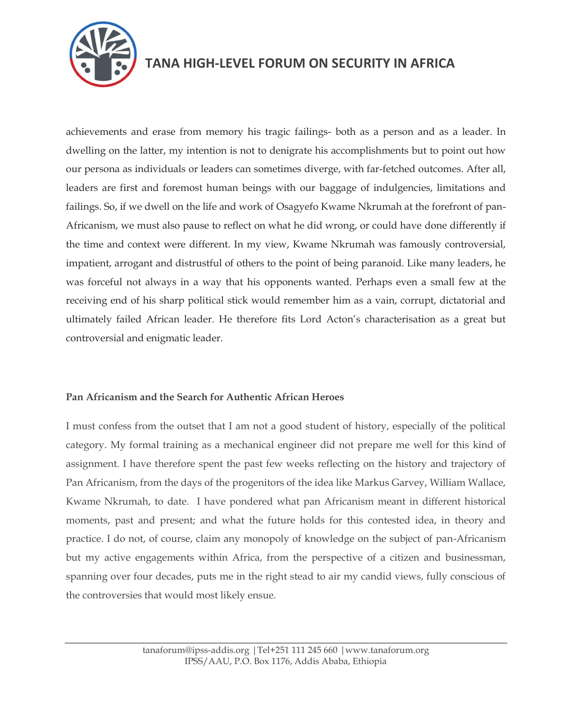

achievements and erase from memory his tragic failings- both as a person and as a leader. In dwelling on the latter, my intention is not to denigrate his accomplishments but to point out how our persona as individuals or leaders can sometimes diverge, with far-fetched outcomes. After all, leaders are first and foremost human beings with our baggage of indulgencies, limitations and failings. So, if we dwell on the life and work of Osagyefo Kwame Nkrumah at the forefront of pan-Africanism, we must also pause to reflect on what he did wrong, or could have done differently if the time and context were different. In my view, Kwame Nkrumah was famously controversial, impatient, arrogant and distrustful of others to the point of being paranoid. Like many leaders, he was forceful not always in a way that his opponents wanted. Perhaps even a small few at the receiving end of his sharp political stick would remember him as a vain, corrupt, dictatorial and ultimately failed African leader. He therefore fits Lord Acton"s characterisation as a great but controversial and enigmatic leader.

#### **Pan Africanism and the Search for Authentic African Heroes**

I must confess from the outset that I am not a good student of history, especially of the political category. My formal training as a mechanical engineer did not prepare me well for this kind of assignment. I have therefore spent the past few weeks reflecting on the history and trajectory of Pan Africanism, from the days of the progenitors of the idea like Markus Garvey, William Wallace, Kwame Nkrumah, to date. I have pondered what pan Africanism meant in different historical moments, past and present; and what the future holds for this contested idea, in theory and practice. I do not, of course, claim any monopoly of knowledge on the subject of pan-Africanism but my active engagements within Africa, from the perspective of a citizen and businessman, spanning over four decades, puts me in the right stead to air my candid views, fully conscious of the controversies that would most likely ensue.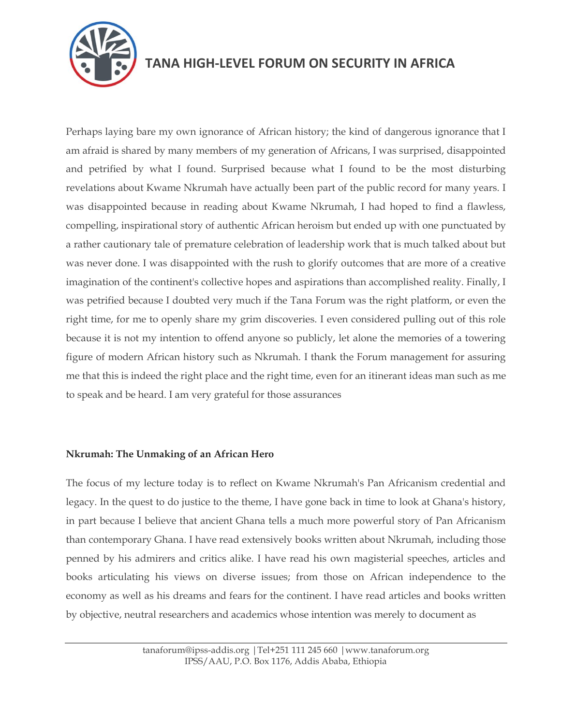

Perhaps laying bare my own ignorance of African history; the kind of dangerous ignorance that I am afraid is shared by many members of my generation of Africans, I was surprised, disappointed and petrified by what I found. Surprised because what I found to be the most disturbing revelations about Kwame Nkrumah have actually been part of the public record for many years. I was disappointed because in reading about Kwame Nkrumah, I had hoped to find a flawless, compelling, inspirational story of authentic African heroism but ended up with one punctuated by a rather cautionary tale of premature celebration of leadership work that is much talked about but was never done. I was disappointed with the rush to glorify outcomes that are more of a creative imagination of the continent's collective hopes and aspirations than accomplished reality. Finally, I was petrified because I doubted very much if the Tana Forum was the right platform, or even the right time, for me to openly share my grim discoveries. I even considered pulling out of this role because it is not my intention to offend anyone so publicly, let alone the memories of a towering figure of modern African history such as Nkrumah. I thank the Forum management for assuring me that this is indeed the right place and the right time, even for an itinerant ideas man such as me to speak and be heard. I am very grateful for those assurances

#### **Nkrumah: The Unmaking of an African Hero**

The focus of my lecture today is to reflect on Kwame Nkrumah's Pan Africanism credential and legacy. In the quest to do justice to the theme, I have gone back in time to look at Ghana's history, in part because I believe that ancient Ghana tells a much more powerful story of Pan Africanism than contemporary Ghana. I have read extensively books written about Nkrumah, including those penned by his admirers and critics alike. I have read his own magisterial speeches, articles and books articulating his views on diverse issues; from those on African independence to the economy as well as his dreams and fears for the continent. I have read articles and books written by objective, neutral researchers and academics whose intention was merely to document as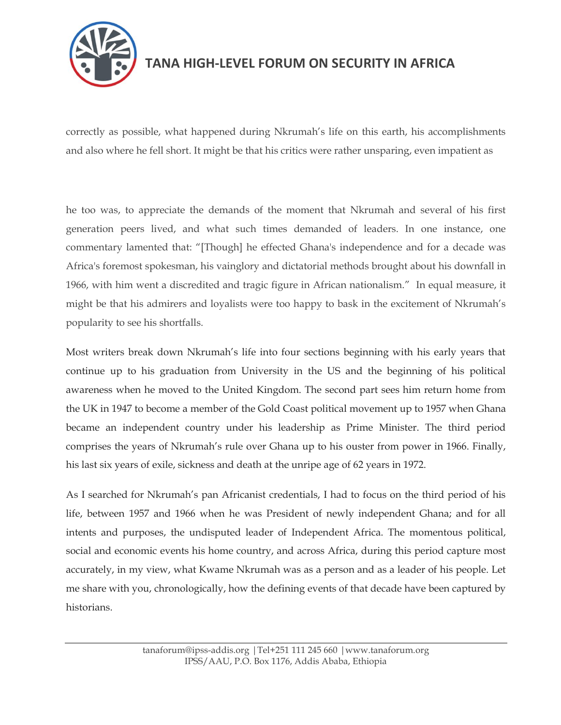

correctly as possible, what happened during Nkrumah's life on this earth, his accomplishments and also where he fell short. It might be that his critics were rather unsparing, even impatient as

he too was, to appreciate the demands of the moment that Nkrumah and several of his first generation peers lived, and what such times demanded of leaders. In one instance, one commentary lamented that: "[Though] he effected Ghana's independence and for a decade was Africa's foremost spokesman, his vainglory and dictatorial methods brought about his downfall in 1966, with him went a discredited and tragic figure in African nationalism." In equal measure, it might be that his admirers and loyalists were too happy to bask in the excitement of Nkrumah"s popularity to see his shortfalls.

Most writers break down Nkrumah"s life into four sections beginning with his early years that continue up to his graduation from University in the US and the beginning of his political awareness when he moved to the United Kingdom. The second part sees him return home from the UK in 1947 to become a member of the Gold Coast political movement up to 1957 when Ghana became an independent country under his leadership as Prime Minister. The third period comprises the years of Nkrumah"s rule over Ghana up to his ouster from power in 1966. Finally, his last six years of exile, sickness and death at the unripe age of 62 years in 1972.

As I searched for Nkrumah"s pan Africanist credentials, I had to focus on the third period of his life, between 1957 and 1966 when he was President of newly independent Ghana; and for all intents and purposes, the undisputed leader of Independent Africa. The momentous political, social and economic events his home country, and across Africa, during this period capture most accurately, in my view, what Kwame Nkrumah was as a person and as a leader of his people. Let me share with you, chronologically, how the defining events of that decade have been captured by historians.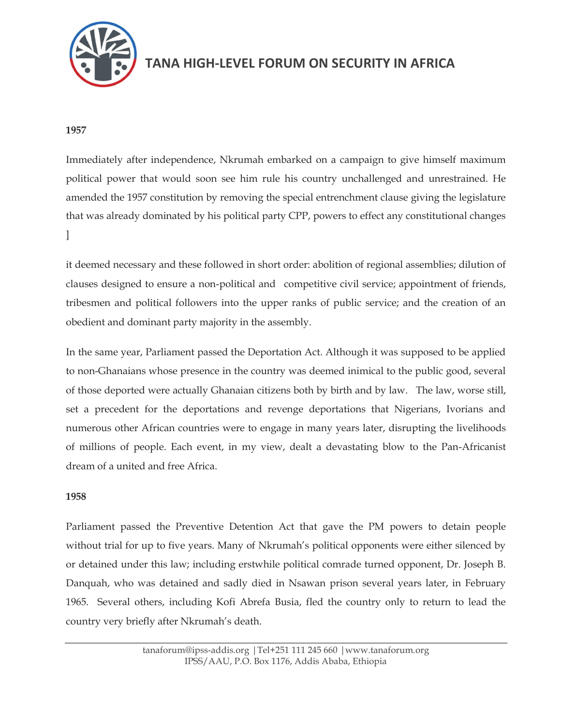

#### **1957**

Immediately after independence, Nkrumah embarked on a campaign to give himself maximum political power that would soon see him rule his country unchallenged and unrestrained. He amended the 1957 constitution by removing the special entrenchment clause giving the legislature that was already dominated by his political party CPP, powers to effect any constitutional changes ]

it deemed necessary and these followed in short order: abolition of regional assemblies; dilution of clauses designed to ensure a non-political and competitive civil service; appointment of friends, tribesmen and political followers into the upper ranks of public service; and the creation of an obedient and dominant party majority in the assembly.

In the same year, Parliament passed the Deportation Act. Although it was supposed to be applied to non-Ghanaians whose presence in the country was deemed inimical to the public good, several of those deported were actually Ghanaian citizens both by birth and by law. The law, worse still, set a precedent for the deportations and revenge deportations that Nigerians, Ivorians and numerous other African countries were to engage in many years later, disrupting the livelihoods of millions of people. Each event, in my view, dealt a devastating blow to the Pan-Africanist dream of a united and free Africa.

#### **1958**

Parliament passed the Preventive Detention Act that gave the PM powers to detain people without trial for up to five years. Many of Nkrumah's political opponents were either silenced by or detained under this law; including erstwhile political comrade turned opponent, Dr. Joseph B. Danquah, who was detained and sadly died in Nsawan prison several years later, in February 1965. Several others, including Kofi Abrefa Busia, fled the country only to return to lead the country very briefly after Nkrumah"s death.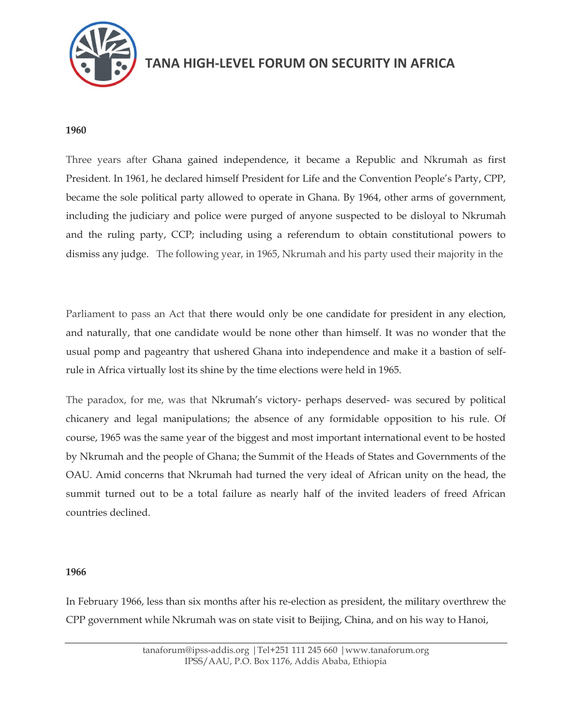

#### **1960**

Three years after Ghana gained independence, it became a Republic and Nkrumah as first President. In 1961, he declared himself President for Life and the Convention People"s Party, CPP, became the sole political party allowed to operate in Ghana. By 1964, other arms of government, including the judiciary and police were purged of anyone suspected to be disloyal to Nkrumah and the ruling party, CCP; including using a referendum to obtain constitutional powers to dismiss any judge. The following year, in 1965, Nkrumah and his party used their majority in the

Parliament to pass an Act that there would only be one candidate for president in any election, and naturally, that one candidate would be none other than himself. It was no wonder that the usual pomp and pageantry that ushered Ghana into independence and make it a bastion of selfrule in Africa virtually lost its shine by the time elections were held in 1965.

The paradox, for me, was that Nkrumah"s victory- perhaps deserved- was secured by political chicanery and legal manipulations; the absence of any formidable opposition to his rule. Of course, 1965 was the same year of the biggest and most important international event to be hosted by Nkrumah and the people of Ghana; the Summit of the Heads of States and Governments of the OAU. Amid concerns that Nkrumah had turned the very ideal of African unity on the head, the summit turned out to be a total failure as nearly half of the invited leaders of freed African countries declined.

#### **1966**

In February 1966, less than six months after his re-election as president, the military overthrew the CPP government while Nkrumah was on state visit to Beijing, China, and on his way to Hanoi,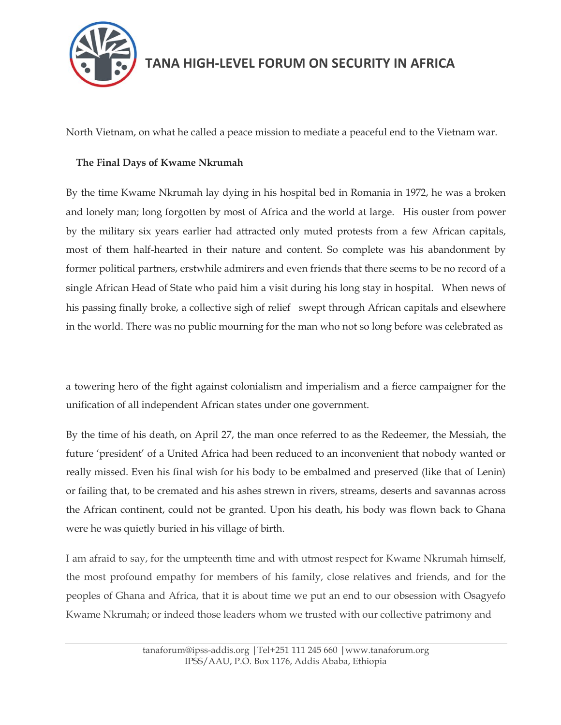

North Vietnam, on what he called a peace mission to mediate a peaceful end to the Vietnam war.

#### **The Final Days of Kwame Nkrumah**

By the time Kwame Nkrumah lay dying in his hospital bed in Romania in 1972, he was a broken and lonely man; long forgotten by most of Africa and the world at large. His ouster from power by the military six years earlier had attracted only muted protests from a few African capitals, most of them half-hearted in their nature and content. So complete was his abandonment by former political partners, erstwhile admirers and even friends that there seems to be no record of a single African Head of State who paid him a visit during his long stay in hospital. When news of his passing finally broke, a collective sigh of relief swept through African capitals and elsewhere in the world. There was no public mourning for the man who not so long before was celebrated as

a towering hero of the fight against colonialism and imperialism and a fierce campaigner for the unification of all independent African states under one government.

By the time of his death, on April 27, the man once referred to as the Redeemer, the Messiah, the future "president" of a United Africa had been reduced to an inconvenient that nobody wanted or really missed. Even his final wish for his body to be embalmed and preserved (like that of Lenin) or failing that, to be cremated and his ashes strewn in rivers, streams, deserts and savannas across the African continent, could not be granted. Upon his death, his body was flown back to Ghana were he was quietly buried in his village of birth.

I am afraid to say, for the umpteenth time and with utmost respect for Kwame Nkrumah himself, the most profound empathy for members of his family, close relatives and friends, and for the peoples of Ghana and Africa, that it is about time we put an end to our obsession with Osagyefo Kwame Nkrumah; or indeed those leaders whom we trusted with our collective patrimony and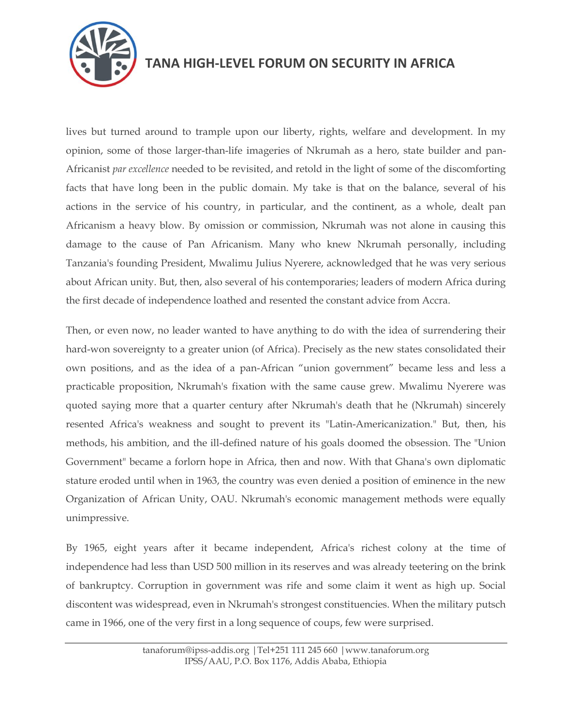

lives but turned around to trample upon our liberty, rights, welfare and development. In my opinion, some of those larger-than-life imageries of Nkrumah as a hero, state builder and pan-Africanist *par excellence* needed to be revisited, and retold in the light of some of the discomforting facts that have long been in the public domain. My take is that on the balance, several of his actions in the service of his country, in particular, and the continent, as a whole, dealt pan Africanism a heavy blow. By omission or commission, Nkrumah was not alone in causing this damage to the cause of Pan Africanism. Many who knew Nkrumah personally, including Tanzania's founding President, Mwalimu Julius Nyerere, acknowledged that he was very serious about African unity. But, then, also several of his contemporaries; leaders of modern Africa during the first decade of independence loathed and resented the constant advice from Accra.

Then, or even now, no leader wanted to have anything to do with the idea of surrendering their hard-won sovereignty to a greater union (of Africa). Precisely as the new states consolidated their own positions, and as the idea of a pan-African "union government" became less and less a practicable proposition, Nkrumah's fixation with the same cause grew. Mwalimu Nyerere was quoted saying more that a quarter century after Nkrumah's death that he (Nkrumah) sincerely resented Africa's weakness and sought to prevent its "Latin-Americanization." But, then, his methods, his ambition, and the ill-defined nature of his goals doomed the obsession. The "Union Government" became a forlorn hope in Africa, then and now. With that Ghana's own diplomatic stature eroded until when in 1963, the country was even denied a position of eminence in the new Organization of African Unity, OAU. Nkrumah's economic management methods were equally unimpressive.

By 1965, eight years after it became independent, Africa's richest colony at the time of independence had less than USD 500 million in its reserves and was already teetering on the brink of bankruptcy. Corruption in government was rife and some claim it went as high up. Social discontent was widespread, even in Nkrumah's strongest constituencies. When the military putsch came in 1966, one of the very first in a long sequence of coups, few were surprised.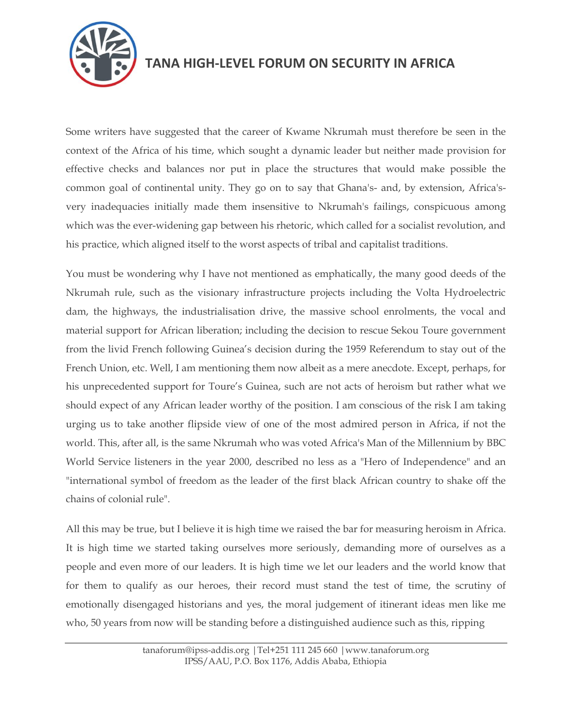

Some writers have suggested that the career of Kwame Nkrumah must therefore be seen in the context of the Africa of his time, which sought a dynamic leader but neither made provision for effective checks and balances nor put in place the structures that would make possible the common goal of continental unity. They go on to say that Ghana's- and, by extension, Africa'svery inadequacies initially made them insensitive to Nkrumah's failings, conspicuous among which was the ever-widening gap between his rhetoric, which called for a socialist revolution, and his practice, which aligned itself to the worst aspects of tribal and capitalist traditions.

You must be wondering why I have not mentioned as emphatically, the many good deeds of the Nkrumah rule, such as the visionary infrastructure projects including the Volta Hydroelectric dam, the highways, the industrialisation drive, the massive school enrolments, the vocal and material support for African liberation; including the decision to rescue Sekou Toure government from the livid French following Guinea"s decision during the 1959 Referendum to stay out of the French Union, etc. Well, I am mentioning them now albeit as a mere anecdote. Except, perhaps, for his unprecedented support for Toure's Guinea, such are not acts of heroism but rather what we should expect of any African leader worthy of the position. I am conscious of the risk I am taking urging us to take another flipside view of one of the most admired person in Africa, if not the world. This, after all, is the same Nkrumah who was voted Africa's Man of the Millennium by BBC World Service listeners in the year 2000, described no less as a "Hero of Independence" and an "international symbol of freedom as the leader of the first black African country to shake off the chains of colonial rule".

All this may be true, but I believe it is high time we raised the bar for measuring heroism in Africa. It is high time we started taking ourselves more seriously, demanding more of ourselves as a people and even more of our leaders. It is high time we let our leaders and the world know that for them to qualify as our heroes, their record must stand the test of time, the scrutiny of emotionally disengaged historians and yes, the moral judgement of itinerant ideas men like me who, 50 years from now will be standing before a distinguished audience such as this, ripping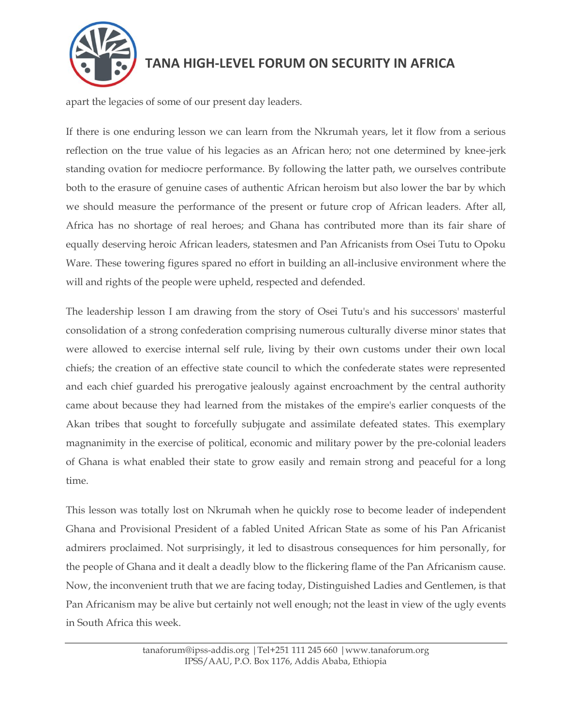

apart the legacies of some of our present day leaders.

If there is one enduring lesson we can learn from the Nkrumah years, let it flow from a serious reflection on the true value of his legacies as an African hero; not one determined by knee-jerk standing ovation for mediocre performance. By following the latter path, we ourselves contribute both to the erasure of genuine cases of authentic African heroism but also lower the bar by which we should measure the performance of the present or future crop of African leaders. After all, Africa has no shortage of real heroes; and Ghana has contributed more than its fair share of equally deserving heroic African leaders, statesmen and Pan Africanists from Osei Tutu to Opoku Ware. These towering figures spared no effort in building an all-inclusive environment where the will and rights of the people were upheld, respected and defended.

The leadership lesson I am drawing from the story of Osei Tutu's and his successors' masterful consolidation of a strong confederation comprising numerous culturally diverse minor states that were allowed to exercise internal self rule, living by their own customs under their own local chiefs; the creation of an effective state council to which the confederate states were represented and each chief guarded his prerogative jealously against encroachment by the central authority came about because they had learned from the mistakes of the empire's earlier conquests of the Akan tribes that sought to forcefully subjugate and assimilate defeated states. This exemplary magnanimity in the exercise of political, economic and military power by the pre-colonial leaders of Ghana is what enabled their state to grow easily and remain strong and peaceful for a long time.

This lesson was totally lost on Nkrumah when he quickly rose to become leader of independent Ghana and Provisional President of a fabled United African State as some of his Pan Africanist admirers proclaimed. Not surprisingly, it led to disastrous consequences for him personally, for the people of Ghana and it dealt a deadly blow to the flickering flame of the Pan Africanism cause. Now, the inconvenient truth that we are facing today, Distinguished Ladies and Gentlemen, is that Pan Africanism may be alive but certainly not well enough; not the least in view of the ugly events in South Africa this week.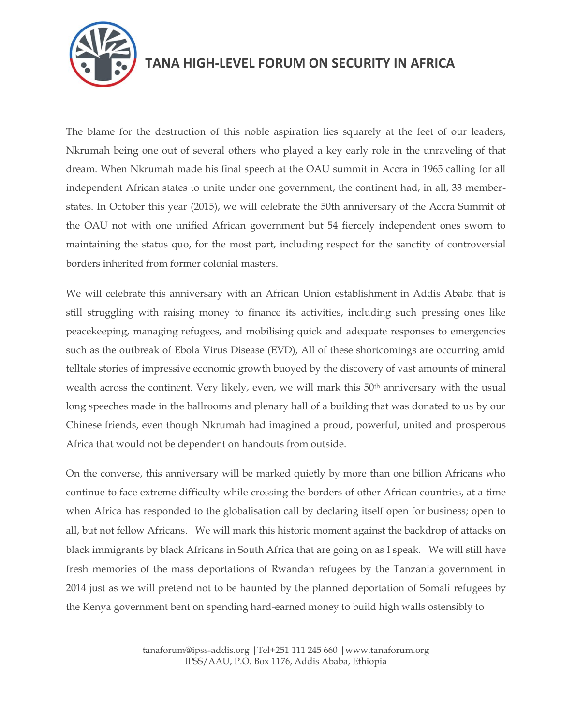

The blame for the destruction of this noble aspiration lies squarely at the feet of our leaders, Nkrumah being one out of several others who played a key early role in the unraveling of that dream. When Nkrumah made his final speech at the OAU summit in Accra in 1965 calling for all independent African states to unite under one government, the continent had, in all, 33 memberstates. In October this year (2015), we will celebrate the 50th anniversary of the Accra Summit of the OAU not with one unified African government but 54 fiercely independent ones sworn to maintaining the status quo, for the most part, including respect for the sanctity of controversial borders inherited from former colonial masters.

We will celebrate this anniversary with an African Union establishment in Addis Ababa that is still struggling with raising money to finance its activities, including such pressing ones like peacekeeping, managing refugees, and mobilising quick and adequate responses to emergencies such as the outbreak of Ebola Virus Disease (EVD), All of these shortcomings are occurring amid telltale stories of impressive economic growth buoyed by the discovery of vast amounts of mineral wealth across the continent. Very likely, even, we will mark this 50<sup>th</sup> anniversary with the usual long speeches made in the ballrooms and plenary hall of a building that was donated to us by our Chinese friends, even though Nkrumah had imagined a proud, powerful, united and prosperous Africa that would not be dependent on handouts from outside.

On the converse, this anniversary will be marked quietly by more than one billion Africans who continue to face extreme difficulty while crossing the borders of other African countries, at a time when Africa has responded to the globalisation call by declaring itself open for business; open to all, but not fellow Africans. We will mark this historic moment against the backdrop of attacks on black immigrants by black Africans in South Africa that are going on as I speak. We will still have fresh memories of the mass deportations of Rwandan refugees by the Tanzania government in 2014 just as we will pretend not to be haunted by the planned deportation of Somali refugees by the Kenya government bent on spending hard-earned money to build high walls ostensibly to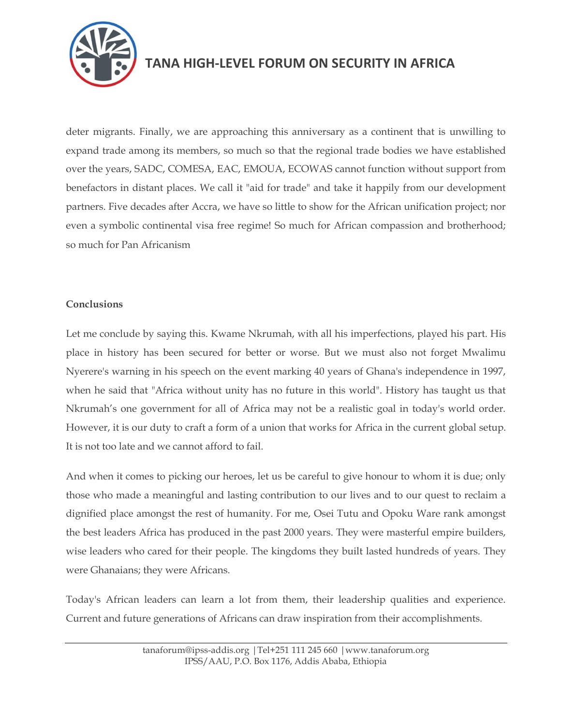

deter migrants. Finally, we are approaching this anniversary as a continent that is unwilling to expand trade among its members, so much so that the regional trade bodies we have established over the years, SADC, COMESA, EAC, EMOUA, ECOWAS cannot function without support from benefactors in distant places. We call it "aid for trade" and take it happily from our development partners. Five decades after Accra, we have so little to show for the African unification project; nor even a symbolic continental visa free regime! So much for African compassion and brotherhood; so much for Pan Africanism

#### **Conclusions**

Let me conclude by saying this. Kwame Nkrumah, with all his imperfections, played his part. His place in history has been secured for better or worse. But we must also not forget Mwalimu Nyerere's warning in his speech on the event marking 40 years of Ghana's independence in 1997, when he said that "Africa without unity has no future in this world". History has taught us that Nkrumah"s one government for all of Africa may not be a realistic goal in today's world order. However, it is our duty to craft a form of a union that works for Africa in the current global setup. It is not too late and we cannot afford to fail.

And when it comes to picking our heroes, let us be careful to give honour to whom it is due; only those who made a meaningful and lasting contribution to our lives and to our quest to reclaim a dignified place amongst the rest of humanity. For me, Osei Tutu and Opoku Ware rank amongst the best leaders Africa has produced in the past 2000 years. They were masterful empire builders, wise leaders who cared for their people. The kingdoms they built lasted hundreds of years. They were Ghanaians; they were Africans.

Today's African leaders can learn a lot from them, their leadership qualities and experience. Current and future generations of Africans can draw inspiration from their accomplishments.